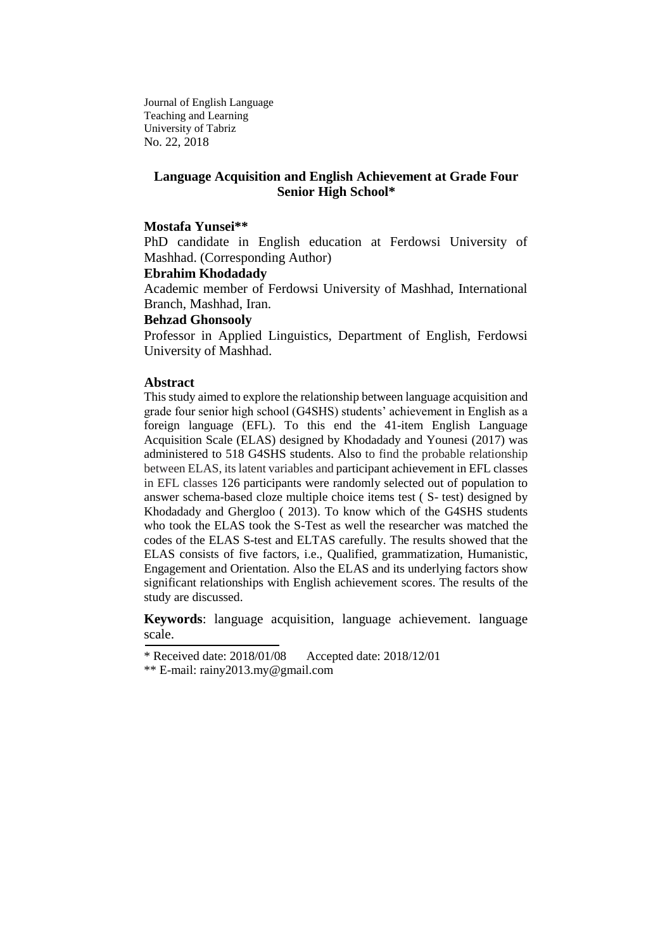Journal of English Language Teaching and Learning University of Tabriz No. 22, 2018

# **Language Acquisition and English Achievement at Grade Four Senior High School\***

#### **Mostafa Yunsei\*\***

PhD candidate in English education at Ferdowsi University of Mashhad. (Corresponding Author)

#### **Ebrahim Khodadady**

Academic member of Ferdowsi University of Mashhad, International Branch, Mashhad, Iran.

#### **Behzad Ghonsooly**

Professor in Applied Linguistics, Department of English, Ferdowsi University of Mashhad.

#### **Abstract**

This study aimed to explore the relationship between language acquisition and grade four senior high school (G4SHS) students' achievement in English as a foreign language (EFL). To this end the 41-item English Language Acquisition Scale (ELAS) designed by Khodadady and Younesi (2017) was administered to 518 G4SHS students. Also to find the probable relationship between ELAS, its latent variables and participant achievement in EFL classes in EFL classes 126 participants were randomly selected out of population to answer schema-based cloze multiple choice items test ( S- test) designed by Khodadady and Ghergloo ( 2013). To know which of the G4SHS students who took the ELAS took the S-Test as well the researcher was matched the codes of the ELAS S-test and ELTAS carefully. The results showed that the ELAS consists of five factors, i.e., Qualified, grammatization, Humanistic, Engagement and Orientation. Also the ELAS and its underlying factors show significant relationships with English achievement scores. The results of the study are discussed.

**Keywords**: language acquisition, language achievement. language scale.

<sup>\*</sup> Received date: 2018/01/08 Accepted date: 2018/12/01

<sup>\*\*</sup> E-mail: [rainy2013.my@gmail.com](mailto:rainy2013.my@gmail.com)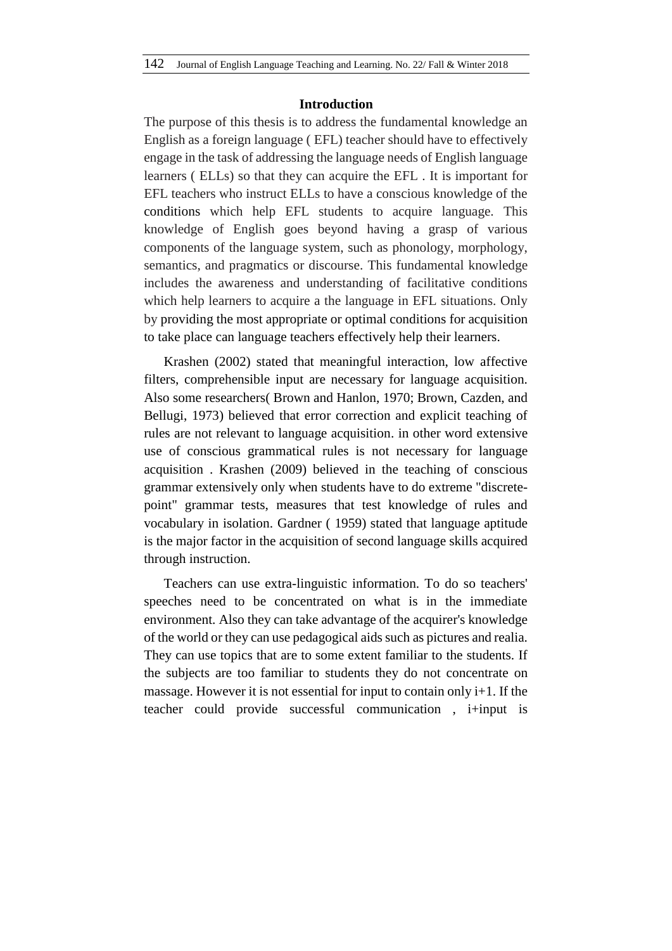### **Introduction**

The purpose of this thesis is to address the fundamental knowledge an English as a foreign language ( EFL) teacher should have to effectively engage in the task of addressing the language needs of English language learners ( ELLs) so that they can acquire the EFL . It is important for EFL teachers who instruct ELLs to have a conscious knowledge of the conditions which help EFL students to acquire language. This knowledge of English goes beyond having a grasp of various components of the language system, such as phonology, morphology, semantics, and pragmatics or discourse. This fundamental knowledge includes the awareness and understanding of facilitative conditions which help learners to acquire a the language in EFL situations. Only by providing the most appropriate or optimal conditions for acquisition to take place can language teachers effectively help their learners.

Krashen (2002) stated that meaningful interaction, low affective filters, comprehensible input are necessary for language acquisition. Also some researchers( Brown and Hanlon, 1970; Brown, Cazden, and Bellugi, 1973) believed that error correction and explicit teaching of rules are not relevant to language acquisition. in other word extensive use of conscious grammatical rules is not necessary for language acquisition . Krashen (2009) believed in the teaching of conscious grammar extensively only when students have to do extreme "discretepoint" grammar tests, measures that test knowledge of rules and vocabulary in isolation. Gardner ( 1959) stated that language aptitude is the major factor in the acquisition of second language skills acquired through instruction.

Teachers can use extra-linguistic information. To do so teachers' speeches need to be concentrated on what is in the immediate environment. Also they can take advantage of the acquirer's knowledge of the world or they can use pedagogical aids such as pictures and realia. They can use topics that are to some extent familiar to the students. If the subjects are too familiar to students they do not concentrate on massage. However it is not essential for input to contain only  $i+1$ . If the teacher could provide successful communication , i+input is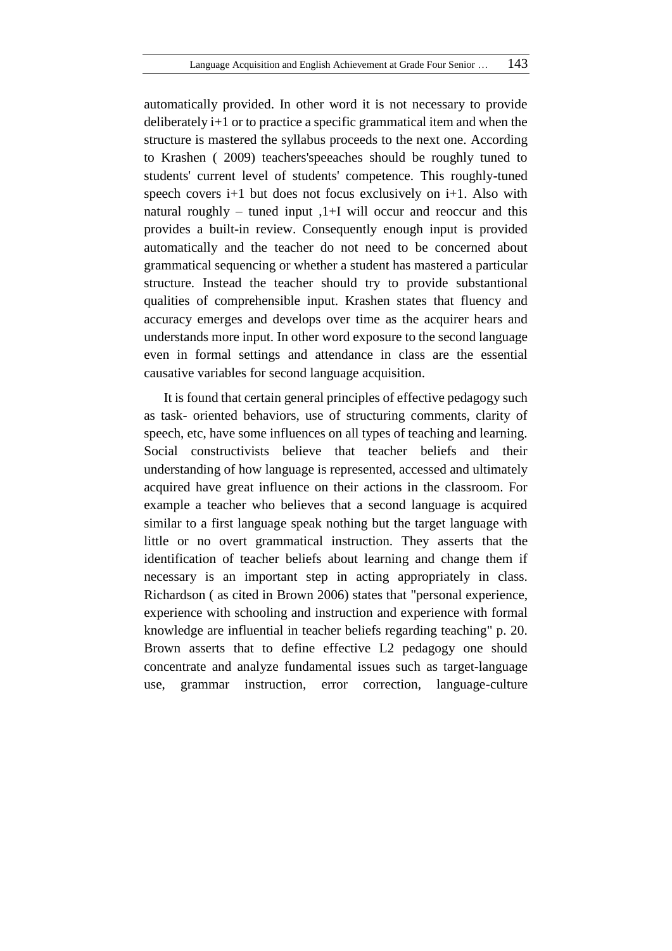automatically provided. In other word it is not necessary to provide deliberately i+1 or to practice a specific grammatical item and when the structure is mastered the syllabus proceeds to the next one. According to Krashen ( 2009) teachers'speeaches should be roughly tuned to students' current level of students' competence. This roughly-tuned speech covers  $i+1$  but does not focus exclusively on  $i+1$ . Also with natural roughly – tuned input  $1+I$  will occur and reoccur and this provides a built-in review. Consequently enough input is provided automatically and the teacher do not need to be concerned about grammatical sequencing or whether a student has mastered a particular structure. Instead the teacher should try to provide substantional qualities of comprehensible input. Krashen states that fluency and accuracy emerges and develops over time as the acquirer hears and understands more input. In other word exposure to the second language even in formal settings and attendance in class are the essential causative variables for second language acquisition.

It is found that certain general principles of effective pedagogy such as task- oriented behaviors, use of structuring comments, clarity of speech, etc, have some influences on all types of teaching and learning. Social constructivists believe that teacher beliefs and their understanding of how language is represented, accessed and ultimately acquired have great influence on their actions in the classroom. For example a teacher who believes that a second language is acquired similar to a first language speak nothing but the target language with little or no overt grammatical instruction. They asserts that the identification of teacher beliefs about learning and change them if necessary is an important step in acting appropriately in class. Richardson ( as cited in Brown 2006) states that "personal experience, experience with schooling and instruction and experience with formal knowledge are influential in teacher beliefs regarding teaching" p. 20. Brown asserts that to define effective L2 pedagogy one should concentrate and analyze fundamental issues such as target-language use, grammar instruction, error correction, language-culture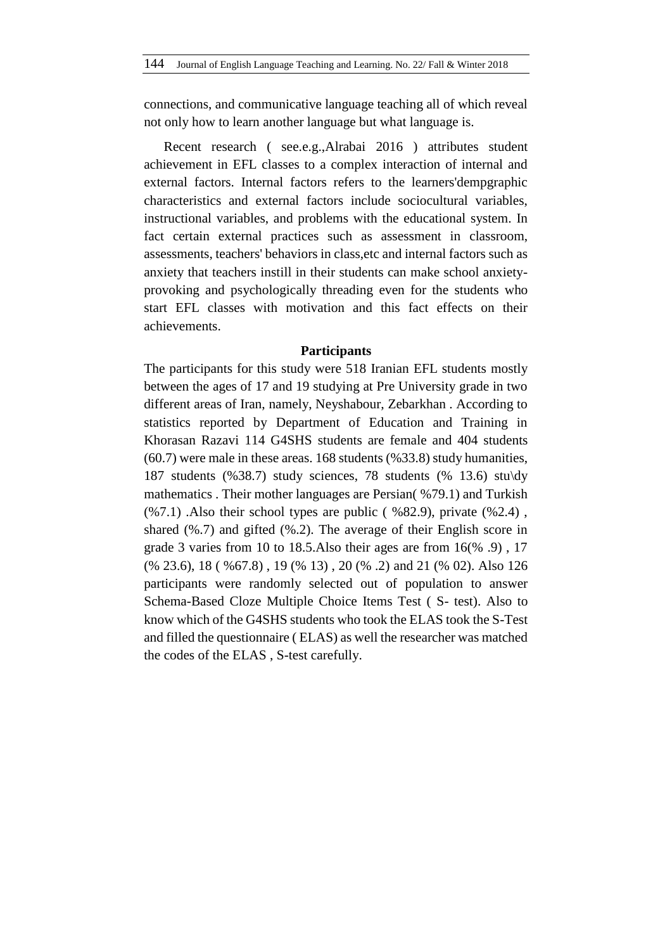connections, and communicative language teaching all of which reveal not only how to learn another language but what language is.

Recent research ( see.e.g.,Alrabai 2016 ) attributes student achievement in EFL classes to a complex interaction of internal and external factors. Internal factors refers to the learners'dempgraphic characteristics and external factors include sociocultural variables, instructional variables, and problems with the educational system. In fact certain external practices such as assessment in classroom, assessments, teachers' behaviors in class,etc and internal factors such as anxiety that teachers instill in their students can make school anxietyprovoking and psychologically threading even for the students who start EFL classes with motivation and this fact effects on their achievements.

#### **Participants**

The participants for this study were 518 Iranian EFL students mostly between the ages of 17 and 19 studying at Pre University grade in two different areas of Iran, namely, Neyshabour, Zebarkhan . According to statistics reported by Department of Education and Training in Khorasan Razavi 114 G4SHS students are female and 404 students (60.7) were male in these areas. 168 students (%33.8) study humanities, 187 students (%38.7) study sciences, 78 students (% 13.6) stu\dy mathematics . Their mother languages are Persian( %79.1) and Turkish  $(\%7.1)$ . Also their school types are public (  $\%82.9$ ), private ( $\%2.4$ ), shared (%.7) and gifted (%.2). The average of their English score in grade 3 varies from 10 to 18.5.Also their ages are from 16(% .9) , 17 (% 23.6), 18 ( %67.8) , 19 (% 13) , 20 (% .2) and 21 (% 02). Also 126 participants were randomly selected out of population to answer Schema-Based Cloze Multiple Choice Items Test ( S- test). Also to know which of the G4SHS students who took the ELAS took the S-Test and filled the questionnaire ( ELAS) as well the researcher was matched the codes of the ELAS , S-test carefully.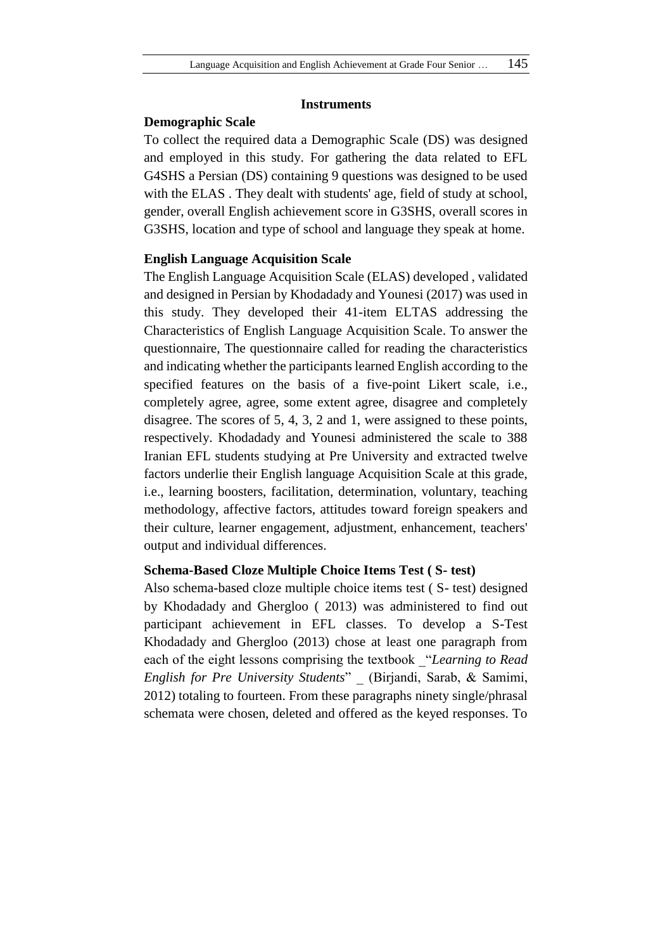# **Instruments**

# **Demographic Scale**

To collect the required data a Demographic Scale (DS) was designed and employed in this study. For gathering the data related to EFL G4SHS a Persian (DS) containing 9 questions was designed to be used with the ELAS. They dealt with students' age, field of study at school, gender, overall English achievement score in G3SHS, overall scores in G3SHS, location and type of school and language they speak at home.

# **English Language Acquisition Scale**

The English Language Acquisition Scale (ELAS) developed , validated and designed in Persian by Khodadady and Younesi (2017) was used in this study. They developed their 41-item ELTAS addressing the Characteristics of English Language Acquisition Scale. To answer the questionnaire, The questionnaire called for reading the characteristics and indicating whether the participants learned English according to the specified features on the basis of a five-point Likert scale, i.e., completely agree, agree, some extent agree, disagree and completely disagree. The scores of 5, 4, 3, 2 and 1, were assigned to these points, respectively. Khodadady and Younesi administered the scale to 388 Iranian EFL students studying at Pre University and extracted twelve factors underlie their English language Acquisition Scale at this grade, i.e., learning boosters, facilitation, determination, voluntary, teaching methodology, affective factors, attitudes toward foreign speakers and their culture, learner engagement, adjustment, enhancement, teachers' output and individual differences.

# **Schema-Based Cloze Multiple Choice Items Test ( S- test)**

Also schema-based cloze multiple choice items test ( S- test) designed by Khodadady and Ghergloo ( 2013) was administered to find out participant achievement in EFL classes. To develop a S-Test Khodadady and Ghergloo (2013) chose at least one paragraph from each of the eight lessons comprising the textbook \_"*Learning to Read English for Pre University Students*" \_ (Birjandi, Sarab, & Samimi, 2012) totaling to fourteen. From these paragraphs ninety single/phrasal schemata were chosen, deleted and offered as the keyed responses. To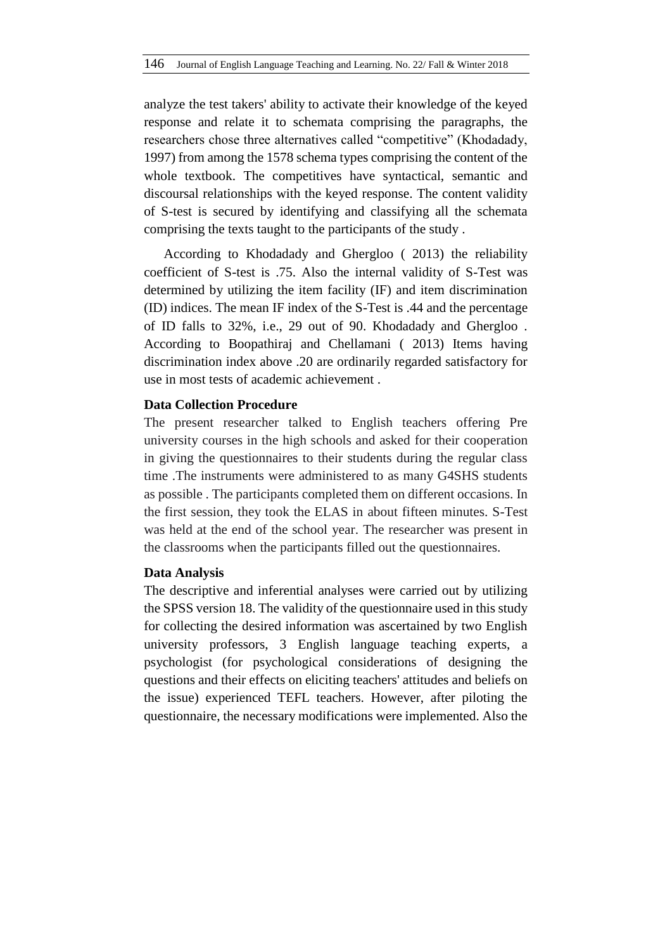analyze the test takers' ability to activate their knowledge of the keyed response and relate it to schemata comprising the paragraphs, the researchers chose three alternatives called "competitive" (Khodadady, 1997) from among the 1578 schema types comprising the content of the whole textbook. The competitives have syntactical, semantic and discoursal relationships with the keyed response. The content validity of S-test is secured by identifying and classifying all the schemata comprising the texts taught to the participants of the study .

According to Khodadady and Ghergloo ( 2013) the reliability coefficient of S-test is .75. Also the internal validity of S-Test was determined by utilizing the item facility (IF) and item discrimination (ID) indices. The mean IF index of the S-Test is .44 and the percentage of ID falls to 32%, i.e., 29 out of 90. Khodadady and Ghergloo . According to Boopathiraj and Chellamani ( 2013) Items having discrimination index above .20 are ordinarily regarded satisfactory for use in most tests of academic achievement .

# **Data Collection Procedure**

The present researcher talked to English teachers offering Pre university courses in the high schools and asked for their cooperation in giving the questionnaires to their students during the regular class time .The instruments were administered to as many G4SHS students as possible . The participants completed them on different occasions. In the first session, they took the ELAS in about fifteen minutes. S-Test was held at the end of the school year. The researcher was present in the classrooms when the participants filled out the questionnaires.

# **Data Analysis**

The descriptive and inferential analyses were carried out by utilizing the SPSS version 18. The validity of the questionnaire used in this study for collecting the desired information was ascertained by two English university professors, 3 English language teaching experts, a psychologist (for psychological considerations of designing the questions and their effects on eliciting teachers' attitudes and beliefs on the issue) experienced TEFL teachers. However, after piloting the questionnaire, the necessary modifications were implemented. Also the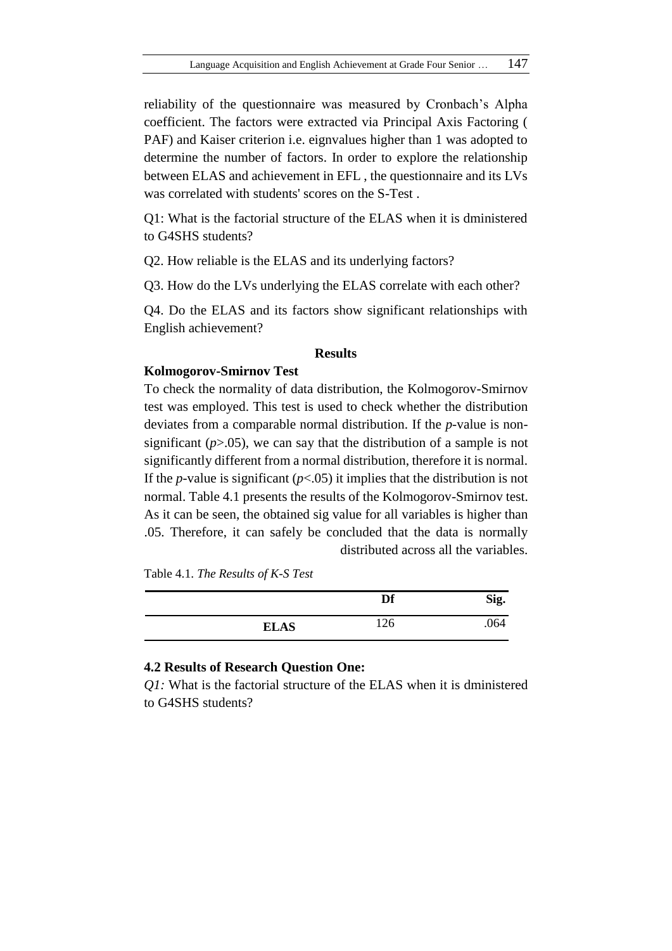reliability of the questionnaire was measured by Cronbach's Alpha coefficient. The factors were extracted via Principal Axis Factoring ( PAF) and Kaiser criterion i.e. eignvalues higher than 1 was adopted to determine the number of factors. In order to explore the relationship between ELAS and achievement in EFL , the questionnaire and its LVs was correlated with students' scores on the S-Test .

Q1: What is the factorial structure of the ELAS when it is dministered to G4SHS students?

Q2. How reliable is the ELAS and its underlying factors?

Q3. How do the LVs underlying the ELAS correlate with each other?

Q4. Do the ELAS and its factors show significant relationships with English achievement?

# **Results**

#### **Kolmogorov-Smirnov Test**

To check the normality of data distribution, the Kolmogorov-Smirnov test was employed. This test is used to check whether the distribution deviates from a comparable normal distribution. If the *p*-value is nonsignificant (*p*>.05), we can say that the distribution of a sample is not significantly different from a normal distribution, therefore it is normal. If the *p*-value is significant  $(p<0.05)$  it implies that the distribution is not normal. Table 4.1 presents the results of the Kolmogorov-Smirnov test. As it can be seen, the obtained sig value for all variables is higher than .05. Therefore, it can safely be concluded that the data is normally distributed across all the variables.

Table 4.1. *The Results of K-S Test*

|             | Df  | Sig. |
|-------------|-----|------|
| <b>ELAS</b> | 126 | .064 |

### **4.2 Results of Research Question One:**

*Q1:* What is the factorial structure of the ELAS when it is dministered to G4SHS students?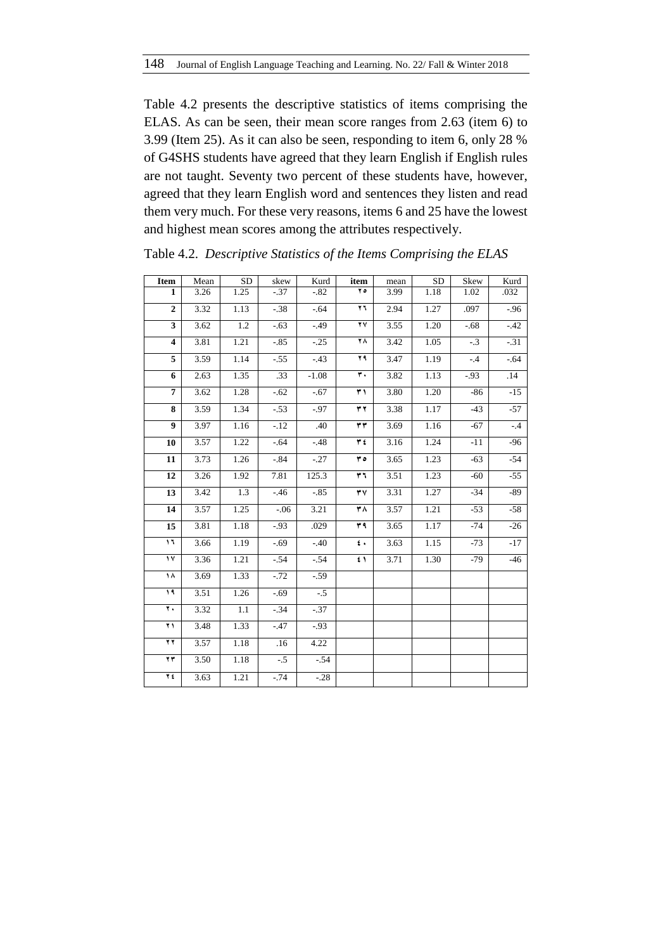Table 4.2 presents the descriptive statistics of items comprising the ELAS. As can be seen, their mean score ranges from 2.63 (item 6) to 3.99 (Item 25). As it can also be seen, responding to item 6, only 28 % of G4SHS students have agreed that they learn English if English rules are not taught. Seventy two percent of these students have, however, agreed that they learn English word and sentences they listen and read them very much. For these very reasons, items 6 and 25 have the lowest and highest mean scores among the attributes respectively.

| Item                    | Mean              | <b>SD</b> | skew    | Kurd    | item                    | mean              | <b>SD</b> | Skew    | Kurd    |
|-------------------------|-------------------|-----------|---------|---------|-------------------------|-------------------|-----------|---------|---------|
| $\mathbf{1}$            | 3.26              | 1.25      | $-.37$  | $-.82$  | $\overline{\bullet}$    | 3.99              | 1.18      | 1.02    | .032    |
| $\overline{2}$          | 3.32              | 1.13      | $-.38$  | $-64$   | ٢٦                      | 2.94              | 1.27      | .097    | $-0.96$ |
| $\overline{\mathbf{3}}$ | 3.62              | 1.2       | $-63$   | $-0.49$ | ۲V                      | 3.55              | 1.20      | $-0.68$ | $-42$   |
| $\overline{\mathbf{4}}$ | 3.81              | 1.21      | $-85$   | $-.25$  | $\overline{\mathbf{r}}$ | 3.42              | 1.05      | $-3$    | $-31$   |
| 5                       | 3.59              | 1.14      | $-.55$  | $-.43$  | ۲۹                      | 3.47              | 1.19      | $-.4$   | $-64$   |
| 6                       | 2.63              | 1.35      | .33     | $-1.08$ | ۳.                      | 3.82              | 1.13      | $-93$   | .14     |
| $\overline{7}$          | 3.62              | 1.28      | $-.62$  | $-.67$  | ۳١                      | 3.80              | 1.20      | $-86$   | $-15$   |
| 8                       | 3.59              | 1.34      | $-53$   | $-0.97$ | ۳۲                      | 3.38              | 1.17      | $-43$   | $-57$   |
| $\overline{9}$          | 3.97              | 1.16      | $-12$   | .40     | ٣٣                      | 3.69              | 1.16      | $-67$   | $-.4$   |
| 10                      | $\overline{3.57}$ | 1.22      | $-64$   | $-.48$  | ۳٤                      | 3.16              | 1.24      | $-11$   | $-96$   |
| 11                      | 3.73              | 1.26      | $-0.84$ | $-.27$  | ه ۳                     | 3.65              | 1.23      | $-63$   | $-54$   |
| 12                      | 3.26              | 1.92      | 7.81    | 125.3   | ٣٦                      | 3.51              | 1.23      | $-60$   | $-55$   |
| 13                      | 3.42              | 1.3       | $-46$   | $-.85$  | ۳٧                      | 3.31              | 1.27      | $-34$   | -89     |
| 14                      | 3.57              | 1.25      | $-.06$  | 3.21    | ۳۸                      | 3.57              | 1.21      | $-53$   | $-58$   |
| 15                      | 3.81              | 1.18      | $-93$   | .029    | ۳۹                      | $\overline{3.65}$ | 1.17      | $-74$   | $-26$   |
| $\overline{\mathbf{u}}$ | 3.66              | 1.19      | $-0.69$ | $-.40$  | $\pmb{\epsilon}$ .      | 3.63              | 1.15      | $-73$   | $-17$   |
| $\frac{1}{\sqrt{2}}$    | 3.36              | 1.21      | $-54$   | $-.54$  | ٤١                      | 3.71              | 1.30      | $-79$   | $-46$   |
| ۱۸                      | 3.69              | 1.33      | $-72$   | $-.59$  |                         |                   |           |         |         |
| $\sqrt{4}$              | 3.51              | 1.26      | $-0.69$ | $-.5$   |                         |                   |           |         |         |
| ۲.                      | 3.32              | $1.1\,$   | $-34$   | $-.37$  |                         |                   |           |         |         |
| $\overline{\mathbf{f}}$ | 3.48              | 1.33      | $-47$   | $-0.93$ |                         |                   |           |         |         |
| $\overline{\mathbf{r}}$ | 3.57              | 1.18      | .16     | 4.22    |                         |                   |           |         |         |
| $\overline{\mathbf{f}}$ | 3.50              | 1.18      | $-.5$   | $-.54$  |                         |                   |           |         |         |
| ٢٤                      | 3.63              | 1.21      | $-0.74$ | $-.28$  |                         |                   |           |         |         |

Table 4.2. *Descriptive Statistics of the Items Comprising the ELAS*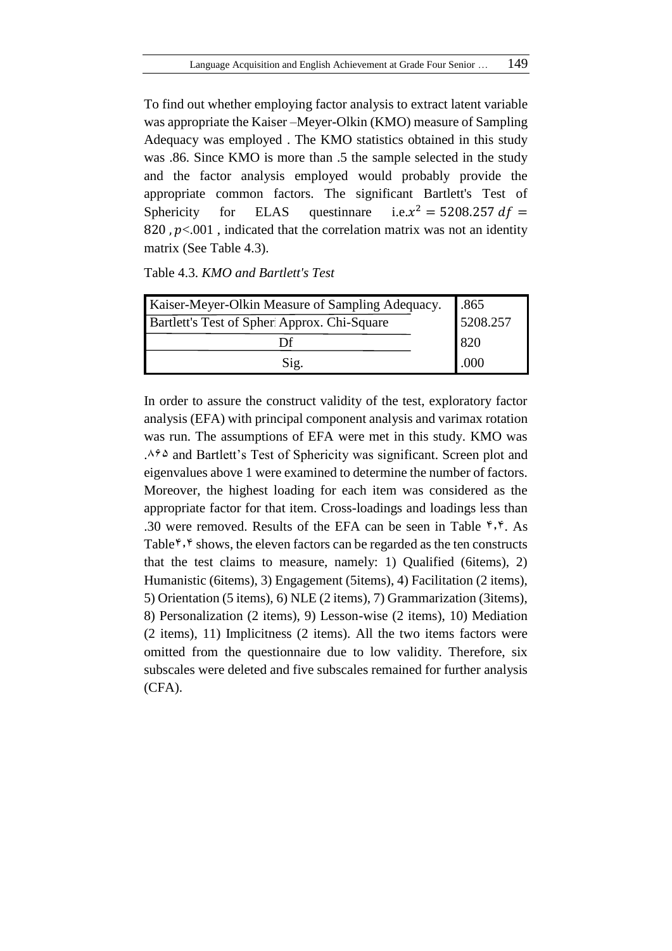To find out whether employing factor analysis to extract latent variable was appropriate the Kaiser –Meyer-Olkin (KMO) measure of Sampling Adequacy was employed . The KMO statistics obtained in this study was .86. Since KMO is more than .5 the sample selected in the study and the factor analysis employed would probably provide the appropriate common factors. The significant Bartlett's Test of Sphericity for ELAS questinnare  $i.e.x^2 = 5208.257 df =$ 820,  $p<.001$ , indicated that the correlation matrix was not an identity matrix (See Table 4.3).

| Table 4.3. KMO and Bartlett's Test |  |
|------------------------------------|--|
|------------------------------------|--|

| Kaiser-Meyer-Olkin Measure of Sampling Adequacy.   | .865     |
|----------------------------------------------------|----------|
| <b>Bartlett's Test of Spher Approx. Chi-Square</b> | 5208.257 |
| Df                                                 | 820      |
| Sig.                                               | .000     |

In order to assure the construct validity of the test, exploratory factor analysis (EFA) with principal component analysis and varimax rotation was run. The assumptions of EFA were met in this study. KMO was . $468$  and Bartlett's Test of Sphericity was significant. Screen plot and eigenvalues above 1 were examined to determine the number of factors. Moreover, the highest loading for each item was considered as the appropriate factor for that item. Cross-loadings and loadings less than .30 were removed. Results of the EFA can be seen in Table  $\hat{r}$ , $\hat{r}$ . As Table<sup> $\mathfrak{f}, \mathfrak{f}$ </sup> shows, the eleven factors can be regarded as the ten constructs that the test claims to measure, namely: 1) Qualified (6items), 2) Humanistic (6items), 3) Engagement (5items), 4) Facilitation (2 items), 5) Orientation (5 items), 6) NLE (2 items), 7) Grammarization (3items), 8) Personalization (2 items), 9) Lesson-wise (2 items), 10) Mediation (2 items), 11) Implicitness (2 items). All the two items factors were omitted from the questionnaire due to low validity. Therefore, six subscales were deleted and five subscales remained for further analysis (CFA).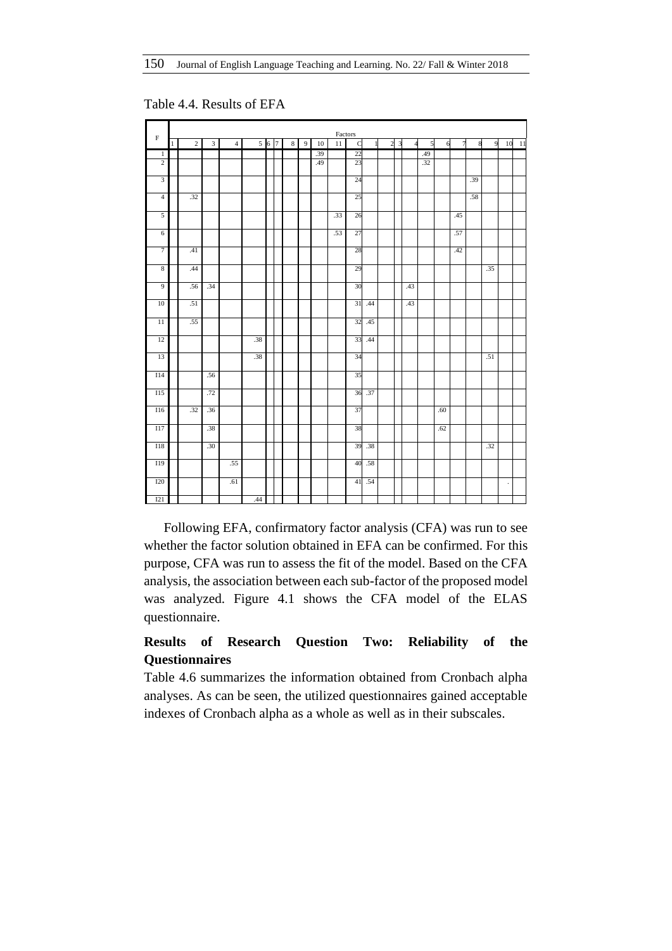|                         |             |                |               |                |     |       |         |                |     | Factors |                 |              |                |                |                |                |              |     |     |     |         |    |
|-------------------------|-------------|----------------|---------------|----------------|-----|-------|---------|----------------|-----|---------|-----------------|--------------|----------------|----------------|----------------|----------------|--------------|-----|-----|-----|---------|----|
| $\rm F$                 | $\mathbf 1$ | $\overline{c}$ | $\mathfrak z$ | $\overline{4}$ |     | 5 6 7 | $\,8\,$ | $\overline{9}$ | 10  | 11      | $\mathbf C$     | $\mathbf{1}$ | $\overline{a}$ | $\overline{3}$ | $\overline{4}$ | $\overline{5}$ | $\mathbf{6}$ | 7   | 8   | 9   | 10      | 11 |
| $\mathbf{1}$            |             |                |               |                |     |       |         |                | .39 |         | 22              |              |                |                |                | .49            |              |     |     |     |         |    |
| $\overline{2}$          |             |                |               |                |     |       |         |                | .49 |         | $\overline{23}$ |              |                |                |                | .32            |              |     |     |     |         |    |
| $\overline{\mathbf{3}}$ |             |                |               |                |     |       |         |                |     |         | 24              |              |                |                |                |                |              |     | .39 |     |         |    |
| $\overline{4}$          |             | .32            |               |                |     |       |         |                |     |         | 25              |              |                |                |                |                |              |     | .58 |     |         |    |
| $\overline{5}$          |             |                |               |                |     |       |         |                |     | .33     | 26              |              |                |                |                |                |              | .45 |     |     |         |    |
| $\overline{6}$          |             |                |               |                |     |       |         |                |     | .53     | 27              |              |                |                |                |                |              | .57 |     |     |         |    |
| $\overline{7}$          |             | .41            |               |                |     |       |         |                |     |         | 28              |              |                |                |                |                |              | .42 |     |     |         |    |
| $\overline{8}$          |             | .44            |               |                |     |       |         |                |     |         | 29              |              |                |                |                |                |              |     |     | .35 |         |    |
| $\overline{9}$          |             | .56            | .34           |                |     |       |         |                |     |         | 30              |              |                |                | .43            |                |              |     |     |     |         |    |
| 10                      |             | .51            |               |                |     |       |         |                |     |         | 31              | .44          |                |                | .43            |                |              |     |     |     |         |    |
| $\overline{11}$         |             | .55            |               |                |     |       |         |                |     |         | 32              | .45          |                |                |                |                |              |     |     |     |         |    |
| 12                      |             |                |               |                | .38 |       |         |                |     |         | 33              | .44          |                |                |                |                |              |     |     |     |         |    |
| 13                      |             |                |               |                | .38 |       |         |                |     |         | 34              |              |                |                |                |                |              |     |     | .51 |         |    |
| <b>I14</b>              |             |                | .56           |                |     |       |         |                |     |         | 35              |              |                |                |                |                |              |     |     |     |         |    |
| <b>I15</b>              |             |                | .72           |                |     |       |         |                |     |         | 36              | .37          |                |                |                |                |              |     |     |     |         |    |
| <b>I16</b>              |             | .32            | .36           |                |     |       |         |                |     |         | 37              |              |                |                |                |                | .60          |     |     |     |         |    |
| I17                     |             |                | .38           |                |     |       |         |                |     |         | 38              |              |                |                |                |                | .62          |     |     |     |         |    |
| <b>I18</b>              |             |                | .30           |                |     |       |         |                |     |         | 39              | .38          |                |                |                |                |              |     |     | .32 |         |    |
| I19                     |             |                |               | .55            |     |       |         |                |     |         | 40              | .58          |                |                |                |                |              |     |     |     |         |    |
| <b>I20</b>              |             |                |               | .61            |     |       |         |                |     |         | 41              | .54          |                |                |                |                |              |     |     |     | $\cdot$ |    |
| I21                     |             |                |               |                | .44 |       |         |                |     |         |                 |              |                |                |                |                |              |     |     |     |         |    |

Table 4.4. Results of EFA

Following EFA, confirmatory factor analysis (CFA) was run to see whether the factor solution obtained in EFA can be confirmed. For this purpose, CFA was run to assess the fit of the model. Based on the CFA analysis, the association between each sub-factor of the proposed model was analyzed. Figure 4.1 shows the CFA model of the ELAS questionnaire.

# **Results of Research Question Two: Reliability of the Questionnaires**

Table 4.6 summarizes the information obtained from Cronbach alpha analyses. As can be seen, the utilized questionnaires gained acceptable indexes of Cronbach alpha as a whole as well as in their subscales.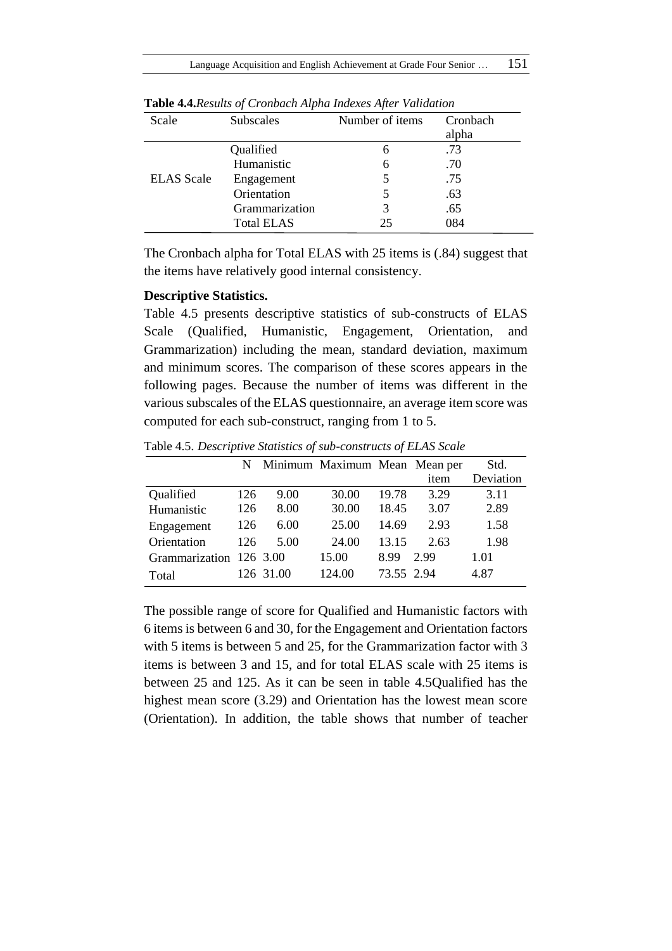| Scale             | <b>Subscales</b>  | Number of items | Cronbach |
|-------------------|-------------------|-----------------|----------|
|                   |                   |                 | alpha    |
|                   | Qualified         | 6               | .73      |
|                   | Humanistic        | 6               | .70      |
| <b>ELAS</b> Scale | Engagement        |                 | .75      |
|                   | Orientation       | 5               | .63      |
|                   | Grammarization    | 3               | .65      |
|                   | <b>Total ELAS</b> | 25              | 084      |

**Table 4.4.***Results of Cronbach Alpha Indexes After Validation*

The Cronbach alpha for Total ELAS with 25 items is (.84) suggest that the items have relatively good internal consistency.

## **Descriptive Statistics.**

Table 4.5 presents descriptive statistics of sub-constructs of ELAS Scale (Qualified, Humanistic, Engagement, Orientation, and Grammarization) including the mean, standard deviation, maximum and minimum scores. The comparison of these scores appears in the following pages. Because the number of items was different in the various subscales of the ELAS questionnaire, an average item score was computed for each sub-construct, ranging from 1 to 5.

|                         | N.  |           | Minimum Maximum Mean Mean per |            |      | Std.      |
|-------------------------|-----|-----------|-------------------------------|------------|------|-----------|
|                         |     |           |                               |            | item | Deviation |
| Qualified               | 126 | 9.00      | 30.00                         | 19.78      | 3.29 | 3.11      |
| Humanistic              | 126 | 8.00      | 30.00                         | 18.45      | 3.07 | 2.89      |
| Engagement              | 126 | 6.00      | 25.00                         | 14.69      | 2.93 | 1.58      |
| Orientation             | 126 | 5.00      | 24.00                         | 13.15      | 2.63 | 1.98      |
| Grammarization 126 3.00 |     |           | 15.00                         | 8.99       | 2.99 | 1.01      |
| Total                   |     | 126 31.00 | 124.00                        | 73.55 2.94 |      | 4.87      |

Table 4.5. *Descriptive Statistics of sub-constructs of ELAS Scale* 

The possible range of score for Qualified and Humanistic factors with 6 items is between 6 and 30, for the Engagement and Orientation factors with 5 items is between 5 and 25, for the Grammarization factor with 3 items is between 3 and 15, and for total ELAS scale with 25 items is between 25 and 125. As it can be seen in table 4.5Qualified has the highest mean score (3.29) and Orientation has the lowest mean score (Orientation). In addition, the table shows that number of teacher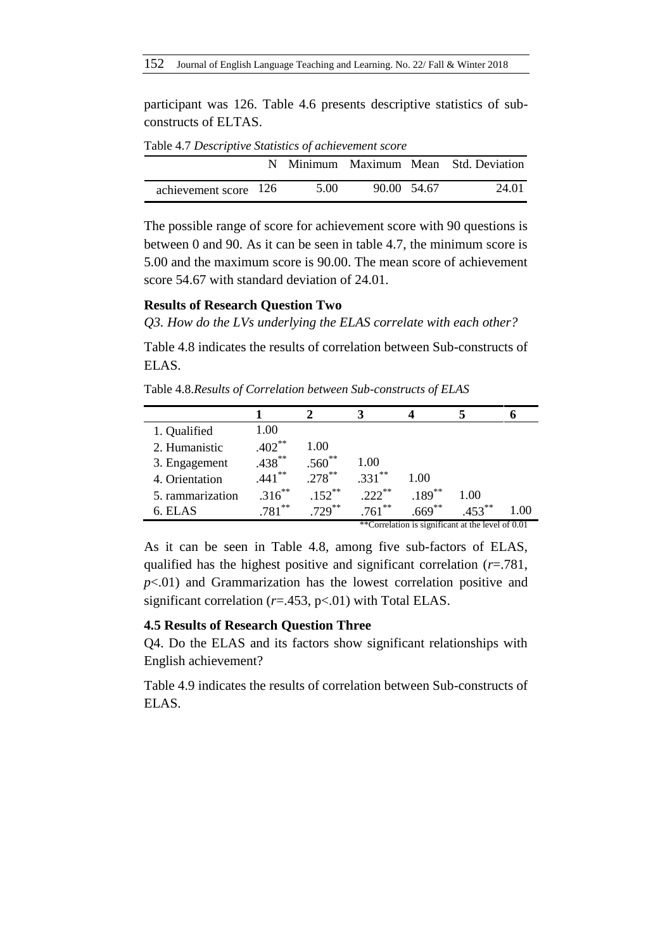participant was 126. Table 4.6 presents descriptive statistics of subconstructs of ELTAS.

|                       |      |             | N Minimum Maximum Mean Std. Deviation |
|-----------------------|------|-------------|---------------------------------------|
| achievement score 126 | 5.00 | 90.00 54.67 | 24.01                                 |

Table 4.7 *Descriptive Statistics of achievement score* 

The possible range of score for achievement score with 90 questions is between 0 and 90. As it can be seen in table 4.7, the minimum score is 5.00 and the maximum score is 90.00. The mean score of achievement score 54.67 with standard deviation of 24.01.

# **Results of Research Question Two**

*Q3. How do the LVs underlying the ELAS correlate with each other?*

Table 4.8 indicates the results of correlation between Sub-constructs of ELAS.

Table 4.8.*Results of Correlation between Sub-constructs of ELAS* 

| 1. Qualified     | 1.00      |           |            |           |                                                   |      |
|------------------|-----------|-----------|------------|-----------|---------------------------------------------------|------|
| 2. Humanistic    | $.402**$  | 1.00      |            |           |                                                   |      |
| 3. Engagement    | $.438***$ | $.560**$  | 1.00       |           |                                                   |      |
| 4. Orientation   | $441***$  | $.278***$ | $.331***$  | 1.00      |                                                   |      |
| 5. rammarization | $.316***$ | $152***$  | $222^{**}$ | $.189***$ | 1.00                                              |      |
| 6. ELAS          | $.781***$ | $729***$  | $.761***$  | $669***$  | $453***$                                          | 1.00 |
|                  |           |           |            |           | **Correlation is significant at the level of 0.01 |      |

As it can be seen in Table 4.8, among five sub-factors of ELAS, qualified has the highest positive and significant correlation (*r*=.781, *p*<.01) and Grammarization has the lowest correlation positive and significant correlation (*r*=.453, p<.01) with Total ELAS.

# **4.5 Results of Research Question Three**

Q4. Do the ELAS and its factors show significant relationships with English achievement?

Table 4.9 indicates the results of correlation between Sub-constructs of ELAS.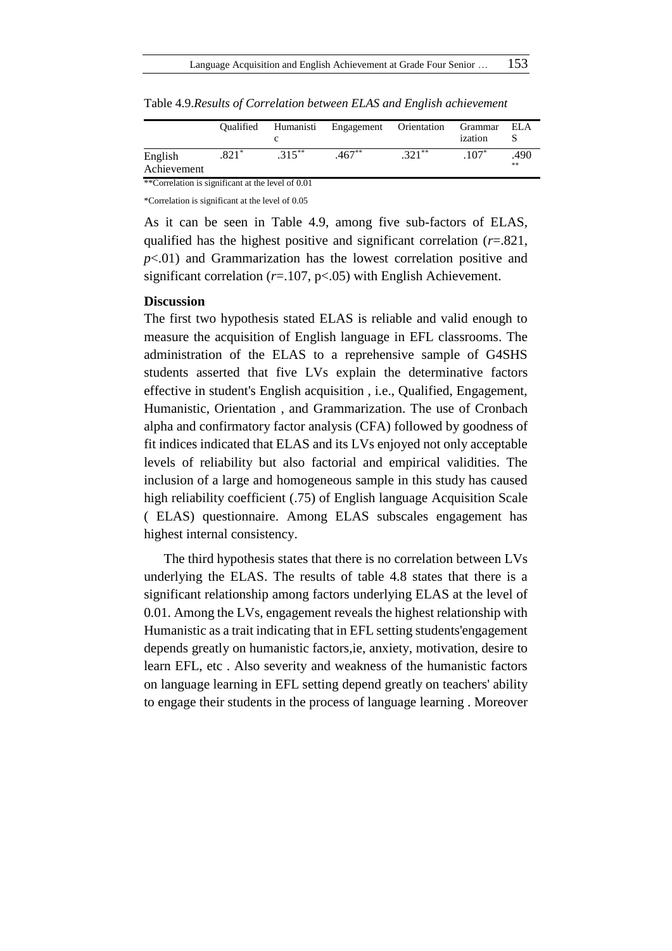|                                                   | Oualified | Humanisti | Engagement | Orientation | Grammar<br>ization | ELA        |  |  |  |  |  |
|---------------------------------------------------|-----------|-----------|------------|-------------|--------------------|------------|--|--|--|--|--|
| English<br>Achievement                            | $.821*$   | $.315***$ | $.467**$   | $.321**$    | $107*$             | .490<br>** |  |  |  |  |  |
| **Correlation is significant at the level of 0.01 |           |           |            |             |                    |            |  |  |  |  |  |

Table 4.9.*Results of Correlation between ELAS and English achievement*

\*Correlation is significant at the level of 0.05

As it can be seen in Table 4.9, among five sub-factors of ELAS, qualified has the highest positive and significant correlation (*r*=.821, *p*<.01) and Grammarization has the lowest correlation positive and significant correlation (*r*=.107, p<.05) with English Achievement.

#### **Discussion**

The first two hypothesis stated ELAS is reliable and valid enough to measure the acquisition of English language in EFL classrooms. The administration of the ELAS to a reprehensive sample of G4SHS students asserted that five LVs explain the determinative factors effective in student's English acquisition , i.e., Qualified, Engagement, Humanistic, Orientation , and Grammarization. The use of Cronbach alpha and confirmatory factor analysis (CFA) followed by goodness of fit indices indicated that ELAS and its LVs enjoyed not only acceptable levels of reliability but also factorial and empirical validities. The inclusion of a large and homogeneous sample in this study has caused high reliability coefficient (.75) of English language Acquisition Scale ( ELAS) questionnaire. Among ELAS subscales engagement has highest internal consistency.

The third hypothesis states that there is no correlation between LVs underlying the ELAS. The results of table 4.8 states that there is a significant relationship among factors underlying ELAS at the level of 0.01. Among the LVs, engagement reveals the highest relationship with Humanistic as a trait indicating that in EFL setting students'engagement depends greatly on humanistic factors,ie, anxiety, motivation, desire to learn EFL, etc . Also severity and weakness of the humanistic factors on language learning in EFL setting depend greatly on teachers' ability to engage their students in the process of language learning . Moreover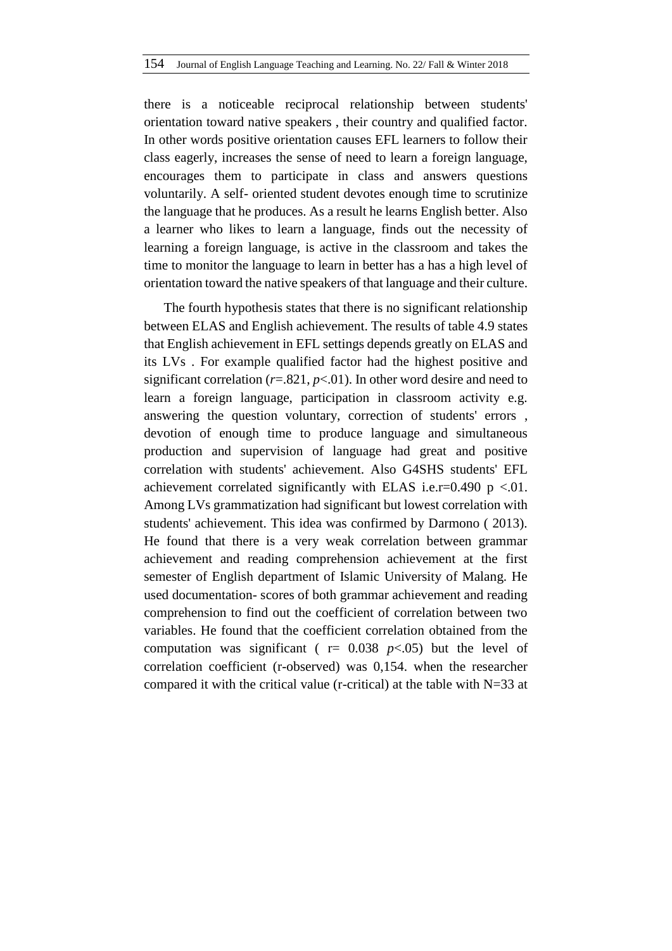there is a noticeable reciprocal relationship between students' orientation toward native speakers , their country and qualified factor. In other words positive orientation causes EFL learners to follow their class eagerly, increases the sense of need to learn a foreign language, encourages them to participate in class and answers questions voluntarily. A self- oriented student devotes enough time to scrutinize the language that he produces. As a result he learns English better. Also a learner who likes to learn a language, finds out the necessity of learning a foreign language, is active in the classroom and takes the time to monitor the language to learn in better has a has a high level of orientation toward the native speakers of that language and their culture.

The fourth hypothesis states that there is no significant relationship between ELAS and English achievement. The results of table 4.9 states that English achievement in EFL settings depends greatly on ELAS and its LVs . For example qualified factor had the highest positive and significant correlation  $(r=.821, p<.01)$ . In other word desire and need to learn a foreign language, participation in classroom activity e.g. answering the question voluntary, correction of students' errors , devotion of enough time to produce language and simultaneous production and supervision of language had great and positive correlation with students' achievement. Also G4SHS students' EFL achievement correlated significantly with ELAS i.e.r=0.490 p <.01. Among LVs grammatization had significant but lowest correlation with students' achievement. This idea was confirmed by Darmono ( 2013). He found that there is a very weak correlation between grammar achievement and reading comprehension achievement at the first semester of English department of Islamic University of Malang. He used documentation- scores of both grammar achievement and reading comprehension to find out the coefficient of correlation between two variables. He found that the coefficient correlation obtained from the computation was significant ( $r = 0.038$   $p < .05$ ) but the level of correlation coefficient (r-observed) was 0,154. when the researcher compared it with the critical value (r-critical) at the table with  $N=33$  at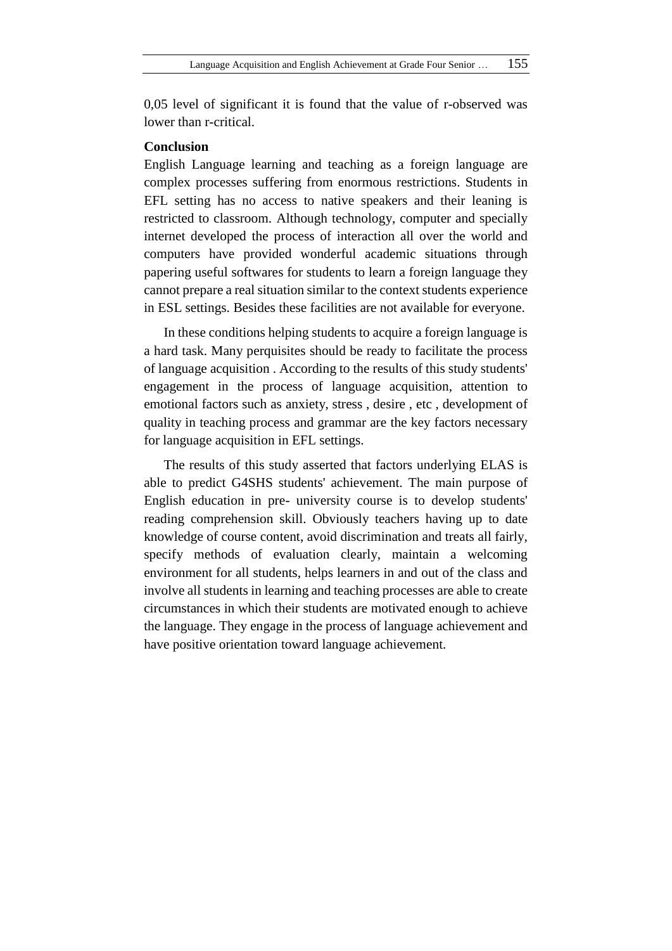0,05 level of significant it is found that the value of r-observed was lower than r-critical.

# **Conclusion**

English Language learning and teaching as a foreign language are complex processes suffering from enormous restrictions. Students in EFL setting has no access to native speakers and their leaning is restricted to classroom. Although technology, computer and specially internet developed the process of interaction all over the world and computers have provided wonderful academic situations through papering useful softwares for students to learn a foreign language they cannot prepare a real situation similar to the context students experience in ESL settings. Besides these facilities are not available for everyone.

In these conditions helping students to acquire a foreign language is a hard task. Many perquisites should be ready to facilitate the process of language acquisition . According to the results of this study students' engagement in the process of language acquisition, attention to emotional factors such as anxiety, stress , desire , etc , development of quality in teaching process and grammar are the key factors necessary for language acquisition in EFL settings.

The results of this study asserted that factors underlying ELAS is able to predict G4SHS students' achievement. The main purpose of English education in pre- university course is to develop students' reading comprehension skill. Obviously teachers having up to date knowledge of course content, avoid discrimination and treats all fairly, specify methods of evaluation clearly, maintain a welcoming environment for all students, helps learners in and out of the class and involve all students in learning and teaching processes are able to create circumstances in which their students are motivated enough to achieve the language. They engage in the process of language achievement and have positive orientation toward language achievement.